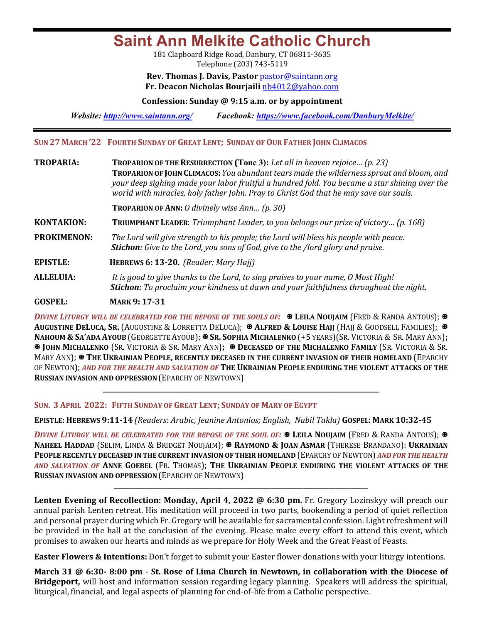**Saint Ann Melkite Catholic Church**

181 Clapboard Ridge Road, Danbury, CT 06811-3635 Telephone (203) 743-5119

**Rev. Thomas J. Davis, Pastor pastor@saintann.org Fr. Deacon Nicholas Bourjaili** nb4012@yahoo.com

**Confession: Sunday @ 9:15 a.m. or by appointment**

*Website: http://www.saintann.org/ Facebook: https://www.facebook.com/DanburyMelkite/* 

**SUN 27 MARCH '22 FOURTH SUNDAY OF GREAT LENT; SUNDAY OF OUR FATHER JOHN CLIMACOS** 

| <b>TROPARIA:</b>   | TROPARION OF THE RESURRECTION (Tone 3): Let all in heaven rejoice (p. 23)<br><b>TROPARION OF JOHN CLIMACOS:</b> You abundant tears made the wilderness sprout and bloom, and<br>your deep sighing made your labor fruitful a hundred fold. You became a star shining over the<br>world with miracles, holy father John. Pray to Christ God that he may save our souls. |
|--------------------|------------------------------------------------------------------------------------------------------------------------------------------------------------------------------------------------------------------------------------------------------------------------------------------------------------------------------------------------------------------------|
|                    | <b>TROPARION OF ANN:</b> O divinely wise Ann (p. 30)                                                                                                                                                                                                                                                                                                                   |
| <b>KONTAKION:</b>  | <b>TRIUMPHANT LEADER:</b> Triumphant Leader, to you belongs our prize of victory (p. 168)                                                                                                                                                                                                                                                                              |
| <b>PROKIMENON:</b> | The Lord will give strength to his people; the Lord will bless his people with peace.<br><b>Stichon:</b> Give to the Lord, you sons of God, give to the /lord glory and praise.                                                                                                                                                                                        |
| <b>EPISTLE:</b>    | HEBREWS 6: 13-20. (Reader: Mary Hajj)                                                                                                                                                                                                                                                                                                                                  |
| <b>ALLELUIA:</b>   | It is good to give thanks to the Lord, to sing praises to your name, O Most High!<br><b>Stichon:</b> To proclaim your kindness at dawn and your faithfulness throughout the night.                                                                                                                                                                                     |
| <b>GOSPEL:</b>     | <b>MARK 9: 17-31</b>                                                                                                                                                                                                                                                                                                                                                   |

*DIVINE LITURGY WILL BE CELEBRATED FOR THE REPOSE OF THE SOULS OF:* **E** LEILA NOUJAIM (FRED & RANDA ANTOUS); **E** AUGUSTINE DELUCA, SR. (AUGUSTINE & LORRETTA DELUCA); **X ALFRED & LOUISE HAJJ** (HAJJ & GOODSELL FAMILIES); **X** NAHOUM & SA'ADA AYOUB (GEORGETTE AYOUB); **\* SR. SOPHIA MICHALENKO** (+5 YEARS)(SR. VICTORIA & SR. MARY ANN); X **JOHN MICHALENKO** (SR. VICTORIA & SR. MARY ANN)**;** X **DECEASED OF THE MICHALENKO FAMILY** (SR. VICTORIA & SR. MARY ANN);  $\mathbb{R}$  THE UKRAINIAN PEOPLE, RECENTLY DECEASED IN THE CURRENT INVASION OF THEIR HOMELAND (EPARCHY OF NEWTON); AND FOR THE HEALTH AND SALVATION OF THE UKRAINIAN PEOPLE ENDURING THE VIOLENT ATTACKS OF THE **RUSSIAN INVASION AND OPPRESSION (EPARCHY OF NEWTOWN)** 

**\_\_\_\_\_\_\_\_\_\_\_\_\_\_\_\_\_\_\_\_\_\_\_\_\_\_\_\_\_\_\_\_\_\_\_\_\_\_\_\_\_\_\_\_\_\_\_\_\_\_\_\_\_\_\_\_\_\_\_\_\_\_\_\_\_\_\_\_\_\_\_\_\_\_\_\_\_\_\_**

**SUN. 3 APRIL 2022: FIFTH SUNDAY OF GREAT LENT; SUNDAY OF MARY OF EGYPT**

**EPISTLE: HEBREWS 9:11-14** *(Readers: Arabic, Jeanine Antonios; English, Nabil Takla)* **GOSPEL: MARK 10:32-45**

*DIVINE LITURGY WILL BE CELEBRATED FOR THE REPOSE OF THE SOUL OF:*  $\mathbb{F}$  LEILA NOUJAIM (FRED & RANDA ANTOUS);  $\mathbb{F}$ **NAHEEL HADDAD** (SELIM, LINDA & BRIDGET NOUJAIM); **\* RAYMOND & JOAN ASMAR** (THERESE BRANDANO): **UKRAINIAN PEOPLE RECENTLY DECEASED IN THE CURRENT INVASION OF THEIR HOMELAND (EPARCHY OF NEWTON) AND FOR THE HEALTH** *AND SALVATION OF*  **ANNE GOEBEL** (FR. THOMAS); **THE UKRAINIAN PEOPLE ENDURING THE VIOLENT ATTACKS OF THE RUSSIAN INVASION AND OPPRESSION (EPARCHY OF NEWTOWN)** 

**\_\_\_\_\_\_\_\_\_\_\_\_\_\_\_\_\_\_\_\_\_\_\_\_\_\_\_\_\_\_\_\_\_\_\_\_\_\_\_\_\_\_\_\_\_\_\_\_\_\_\_\_\_\_\_\_\_\_\_\_\_\_\_\_\_\_\_\_\_\_\_\_\_\_\_\_\_\_\_**

**Lenten Evening of Recollection: Monday, April 4, 2022 @ 6:30 pm.** Fr. Gregory Lozinskyy will preach our annual parish Lenten retreat. His meditation will proceed in two parts, bookending a period of quiet reflection and personal prayer during which Fr. Gregory will be available for sacramental confession. Light refreshment will be provided in the hall at the conclusion of the evening. Please make every effort to attend this event, which promises to awaken our hearts and minds as we prepare for Holy Week and the Great Feast of Feasts.

**Easter Flowers & Intentions:** Don't forget to submit your Easter flower donations with your liturgy intentions.

**March** 31 @ 6:30- 8:00 pm - St. Rose of Lima Church in Newtown, in collaboration with the Diocese of **Bridgeport,** will host and information session regarding legacy planning. Speakers will address the spiritual, liturgical, financial, and legal aspects of planning for end-of-life from a Catholic perspective.